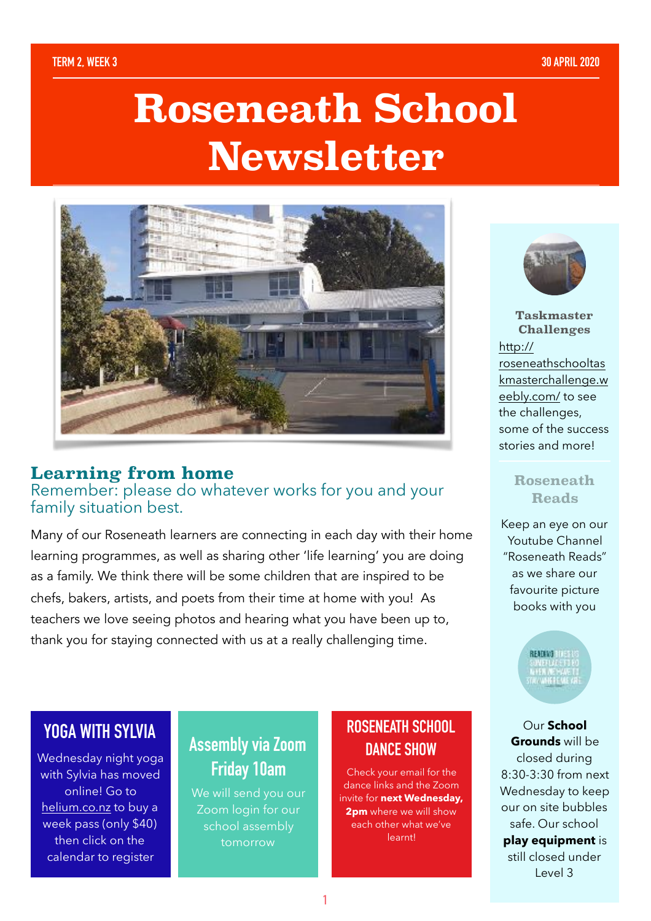# **Roseneath School Newsletter**



#### **Learning from home**

Remember: please do whatever works for you and your family situation best.

Many of our Roseneath learners are connecting in each day with their home learning programmes, as well as sharing other 'life learning' you are doing as a family. We think there will be some children that are inspired to be chefs, bakers, artists, and poets from their time at home with you! As teachers we love seeing photos and hearing what you have been up to, thank you for staying connected with us at a really challenging time.



**Taskmaster Challenges** [http://](http://roseneathschooltaskmasterchallenge.weebly.com/) [roseneathschooltas](http://roseneathschooltaskmasterchallenge.weebly.com/) [kmasterchallenge.w](http://roseneathschooltaskmasterchallenge.weebly.com/) [eebly.com/](http://roseneathschooltaskmasterchallenge.weebly.com/) to see the challenges, some of the success stories and more!

#### **Roseneath Reads**

Keep an eye on our Youtube Channel "Roseneath Reads" as we share our favourite picture books with you

**READING THE** 

Our **School Grounds** will be closed during 8:30-3:30 from next Wednesday to keep our on site bubbles safe. Our school **play equipment** is still closed under Level 3

## **YOGA WITH SYLVIA**

Wednesday night yoga with Sylvia has moved online! Go to [helium.co.nz](http://helium.co.nz) to buy a week pass (only \$40) then click on the calendar to register

## **Assembly via Zoom Friday 10am**

We will send you our Zoom login for our school assembly tomorrow

## **ROSENEATH SCHOOL DANCE SHOW**

Check your email for the dance links and the Zoom invite for **next Wednesday, 2pm** where we will show each other what we've learnt!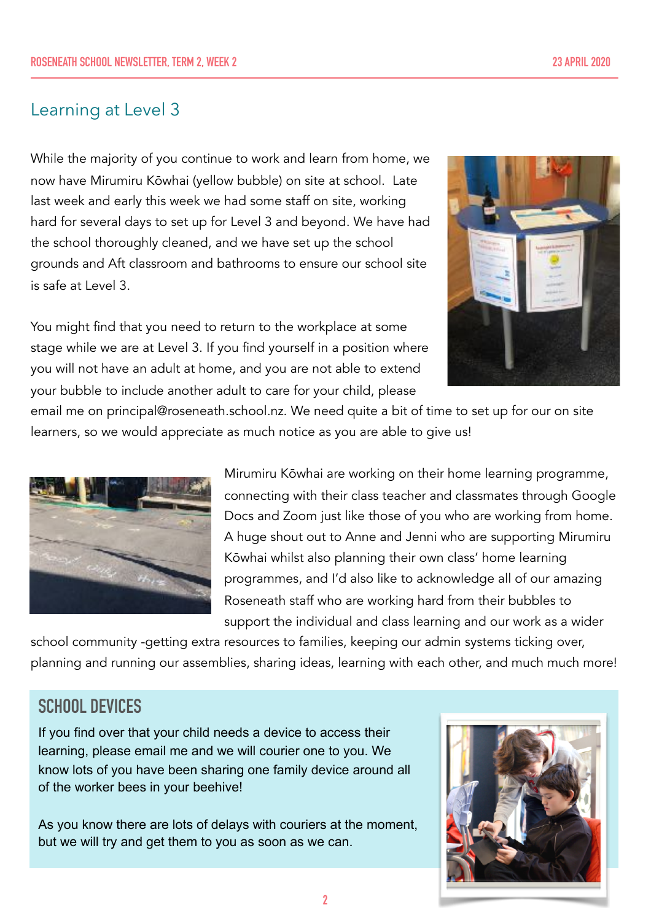#### Learning at Level 3

While the majority of you continue to work and learn from home, we now have Mirumiru Kōwhai (yellow bubble) on site at school. Late last week and early this week we had some staff on site, working hard for several days to set up for Level 3 and beyond. We have had the school thoroughly cleaned, and we have set up the school grounds and Aft classroom and bathrooms to ensure our school site is safe at Level 3.

You might find that you need to return to the workplace at some stage while we are at Level 3. If you find yourself in a position where you will not have an adult at home, and you are not able to extend your bubble to include another adult to care for your child, please



email me on principal@roseneath.school.nz. We need quite a bit of time to set up for our on site learners, so we would appreciate as much notice as you are able to give us!



Mirumiru Kōwhai are working on their home learning programme, connecting with their class teacher and classmates through Google Docs and Zoom just like those of you who are working from home. A huge shout out to Anne and Jenni who are supporting Mirumiru Kōwhai whilst also planning their own class' home learning programmes, and I'd also like to acknowledge all of our amazing Roseneath staff who are working hard from their bubbles to support the individual and class learning and our work as a wider

school community -getting extra resources to families, keeping our admin systems ticking over, planning and running our assemblies, sharing ideas, learning with each other, and much much more!

## **SCHOOL DEVICES**

If you find over that your child needs a device to access their learning, please email me and we will courier one to you. We know lots of you have been sharing one family device around all of the worker bees in your beehive!

As you know there are lots of delays with couriers at the moment, but we will try and get them to you as soon as we can.

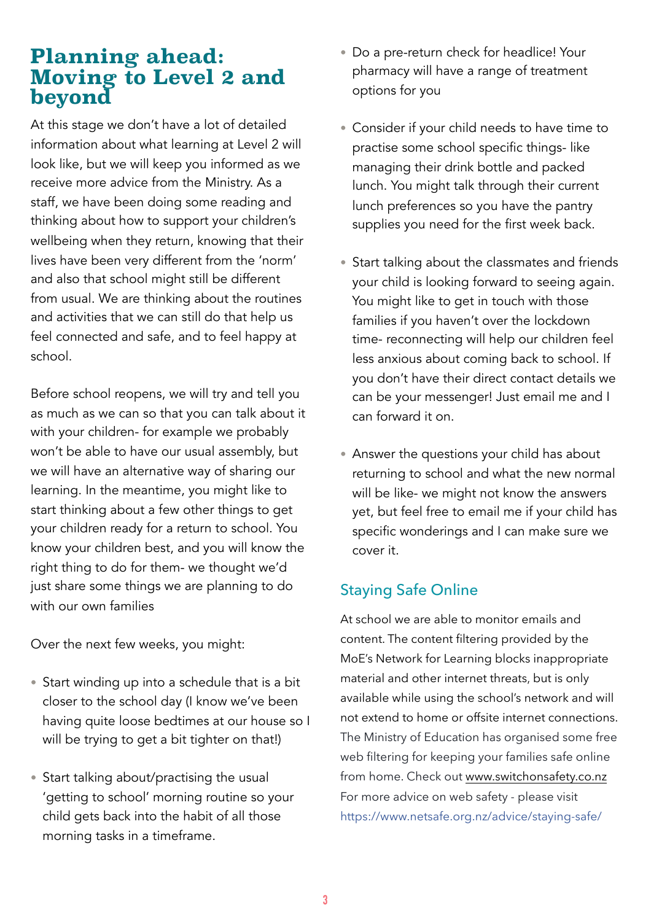## **Planning ahead: Moving to Level 2 and beyond**

At this stage we don't have a lot of detailed information about what learning at Level 2 will look like, but we will keep you informed as we receive more advice from the Ministry. As a staff, we have been doing some reading and thinking about how to support your children's wellbeing when they return, knowing that their lives have been very different from the 'norm' and also that school might still be different from usual. We are thinking about the routines and activities that we can still do that help us feel connected and safe, and to feel happy at school.

Before school reopens, we will try and tell you as much as we can so that you can talk about it with your children- for example we probably won't be able to have our usual assembly, but we will have an alternative way of sharing our learning. In the meantime, you might like to start thinking about a few other things to get your children ready for a return to school. You know your children best, and you will know the right thing to do for them- we thought we'd just share some things we are planning to do with our own families

Over the next few weeks, you might:

- Start winding up into a schedule that is a bit closer to the school day (I know we've been having quite loose bedtimes at our house so I will be trying to get a bit tighter on that!)
- Start talking about/practising the usual 'getting to school' morning routine so your child gets back into the habit of all those morning tasks in a timeframe.
- Do a pre-return check for headlice! Your pharmacy will have a range of treatment options for you
- Consider if your child needs to have time to practise some school specific things- like managing their drink bottle and packed lunch. You might talk through their current lunch preferences so you have the pantry supplies you need for the first week back.
- Start talking about the classmates and friends your child is looking forward to seeing again. You might like to get in touch with those families if you haven't over the lockdown time- reconnecting will help our children feel less anxious about coming back to school. If you don't have their direct contact details we can be your messenger! Just email me and I can forward it on.
- Answer the questions your child has about returning to school and what the new normal will be like- we might not know the answers yet, but feel free to email me if your child has specific wonderings and I can make sure we cover it.

### Staying Safe Online

At school we are able to monitor emails and content. The content filtering provided by the MoE's Network for Learning blocks inappropriate material and other internet threats, but is only available while using the school's network and will not extend to home or offsite internet connections. The Ministry of Education has organised some free web filtering for keeping your families safe online from home. Check out [www.switchonsafety.co.nz](http://www.switchonsafety.co.nz) For more advice on web safety - please visit [https://www.netsafe.org.nz/advice/staying-safe/](https://www.netsafe.org.nz/advice/staying-safe/?fbclid=IwAR30qA8f7w3w5xDgFYm_-WGnBbLFCOZiN0qcirPjlqumjFweZlytq4iznXo)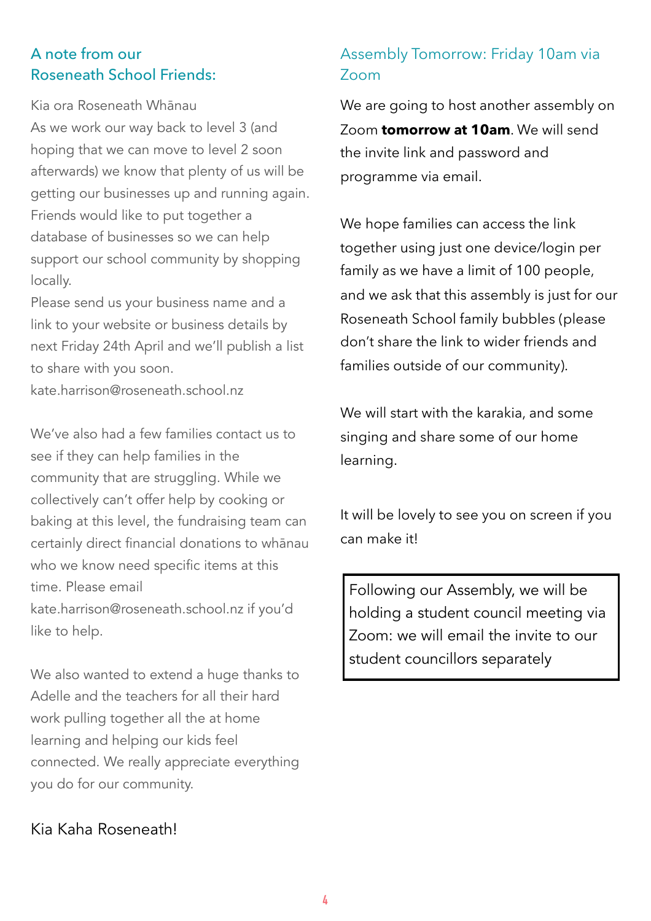#### A note from our Roseneath School Friends:

Kia ora Roseneath Whānau As we work our way back to level 3 (and hoping that we can move to level 2 soon afterwards) we know that plenty of us will be getting our businesses up and running again. Friends would like to put together a database of businesses so we can help support our school community by shopping locally.

Please send us your business name and a link to your website or business details by next Friday 24th April and we'll publish a list to share with you soon.

kate.harrison@roseneath.school.nz

We've also had a few families contact us to see if they can help families in the community that are struggling. While we collectively can't offer help by cooking or baking at this level, the fundraising team can certainly direct financial donations to whānau who we know need specific items at this time. Please email kate.harrison@roseneath.school.nz if you'd like to help.

We also wanted to extend a huge thanks to Adelle and the teachers for all their hard work pulling together all the at home learning and helping our kids feel connected. We really appreciate everything you do for our community.

#### Kia Kaha Roseneath!

#### Assembly Tomorrow: Friday 10am via Zoom

We are going to host another assembly on Zoom **tomorrow at 10am**. We will send the invite link and password and programme via email.

We hope families can access the link together using just one device/login per family as we have a limit of 100 people, and we ask that this assembly is just for our Roseneath School family bubbles (please don't share the link to wider friends and families outside of our community).

We will start with the karakia, and some singing and share some of our home learning.

It will be lovely to see you on screen if you can make it!

Following our Assembly, we will be holding a student council meeting via Zoom: we will email the invite to our student councillors separately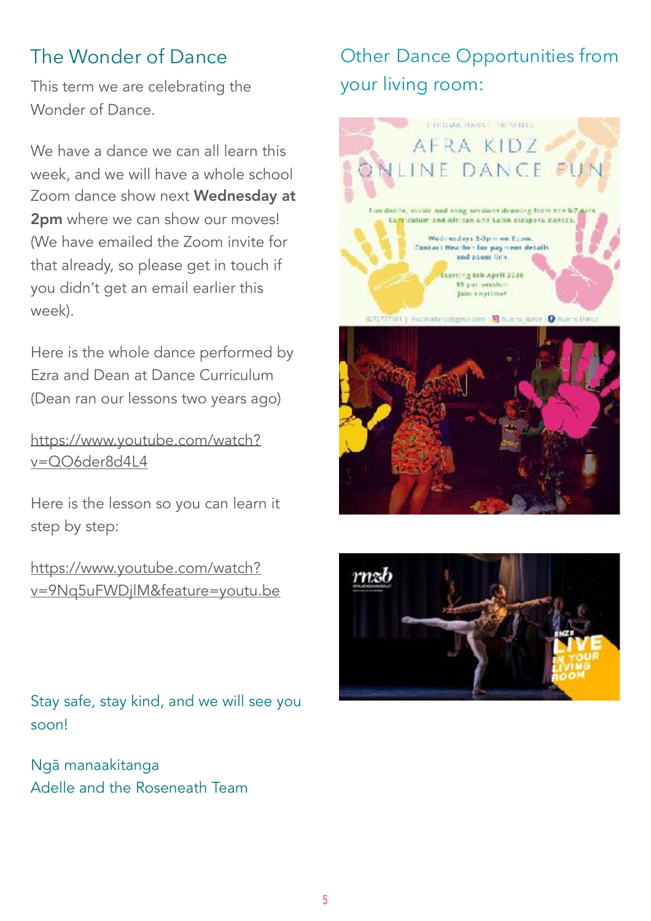## The Wonder of Dance

This term we are celebrating the Wonder of Dance.

We have a dance we can all learn this week, and we will have a whole school Zoom dance show next Wednesday at 2pm where we can show our moves! (We have emailed the Zoom invite for that already, so please get in touch if you didn't get an email earlier this week).

Here is the whole dance performed by Ezra and Dean at Dance Curriculum (Dean ran our lessons two years ago)

[https://www.youtube.com/watch?](https://www.youtube.com/watch?v=QO6der8d4L4) [v=QO6der8d4L4](https://www.youtube.com/watch?v=QO6der8d4L4)

Here is the lesson so you can learn it step by step:

[https://www.youtube.com/watch?](https://www.youtube.com/watch?v=9Nq5uFWDjlM&feature=youtu.be) [v=9Nq5uFWDjlM&feature=youtu.be](https://www.youtube.com/watch?v=9Nq5uFWDjlM&feature=youtu.be)

Stay safe, stay kind, and we will see you soon!

Ngā manaakitanga Adelle and the Roseneath Team

# Other Dance Opportunities from your living room: